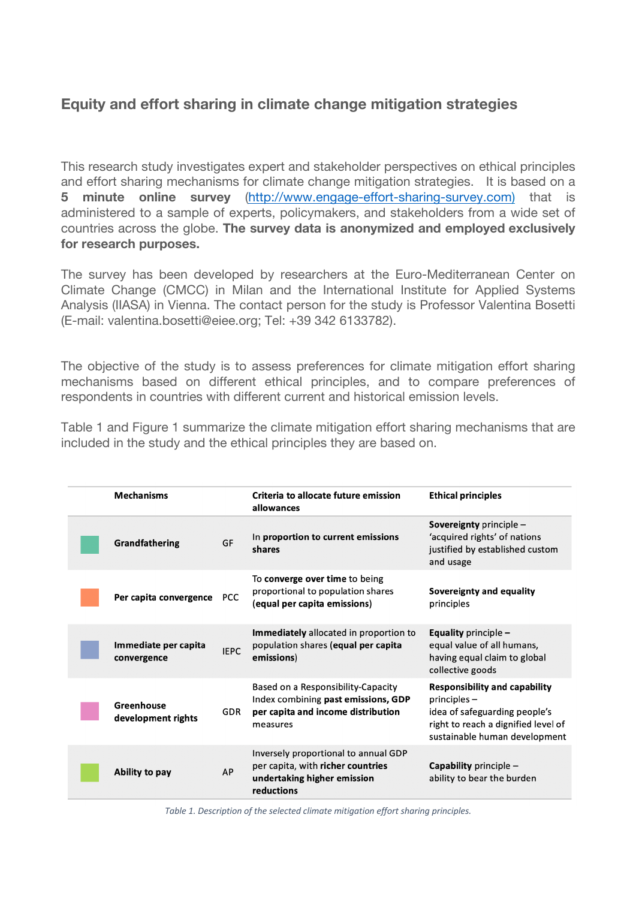## **Equity and effort sharing in climate change mitigation strategies**

This research study investigates expert and stakeholder perspectives on ethical principles and effort sharing mechanisms for climate change mitigation strategies. It is based on a **5 minute online survey** (http://www.engage-effort-sharing-survey.com) that is administered to a sample of experts, policymakers, and stakeholders from a wide set of countries across the globe. **The survey data is anonymized and employed exclusively for research purposes.**

The survey has been developed by researchers at the Euro-Mediterranean Center on Climate Change (CMCC) in Milan and the International Institute for Applied Systems Analysis (IIASA) in Vienna. The contact person for the study is Professor Valentina Bosetti (E-mail: valentina.bosetti@eiee.org; Tel: +39 342 6133782).

The objective of the study is to assess preferences for climate mitigation effort sharing mechanisms based on different ethical principles, and to compare preferences of respondents in countries with different current and historical emission levels.

Table 1 and Figure 1 summarize the climate mitigation effort sharing mechanisms that are included in the study and the ethical principles they are based on.

| <b>Mechanisms</b>                   |             | Criteria to allocate future emission<br>allowances                                                                          | <b>Ethical principles</b>                                                                                                                                       |
|-------------------------------------|-------------|-----------------------------------------------------------------------------------------------------------------------------|-----------------------------------------------------------------------------------------------------------------------------------------------------------------|
| Grandfathering                      | GF          | In proportion to current emissions<br>shares                                                                                | Sovereignty principle -<br>'acquired rights' of nations<br>justified by established custom<br>and usage                                                         |
| Per capita convergence              | <b>PCC</b>  | To converge over time to being<br>proportional to population shares<br>(equal per capita emissions)                         | Sovereignty and equality<br>principles                                                                                                                          |
| Immediate per capita<br>convergence | <b>IEPC</b> | Immediately allocated in proportion to<br>population shares (equal per capita<br>emissions)                                 | Equality principle $-$<br>equal value of all humans,<br>having equal claim to global<br>collective goods                                                        |
| Greenhouse<br>development rights    | <b>GDR</b>  | Based on a Responsibility-Capacity<br>Index combining past emissions, GDP<br>per capita and income distribution<br>measures | <b>Responsibility and capability</b><br>$principles -$<br>idea of safeguarding people's<br>right to reach a dignified level of<br>sustainable human development |
| Ability to pay                      | AP          | Inversely proportional to annual GDP<br>per capita, with richer countries<br>undertaking higher emission<br>reductions      | <b>Capability</b> principle $-$<br>ability to bear the burden                                                                                                   |

*Table 1. Description of the selected climate mitigation effort sharing principles.*